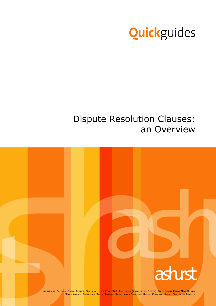

# Dispute Resolution Clauses: an Overview

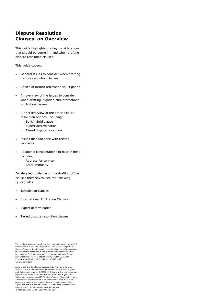# **Dispute Resolution Clauses: an Overview**

This guide highlights the key considerations that should be borne in mind when drafting dispute resolution clauses.

This guide covers:

- General issues to consider when drafting dispute resolution clauses
- Choice of forum: arbitration vs. litigation
- An overview of the issues to consider when drafting litigation and international arbitration clauses
- A brief overview of the other dispute resolution options, including:
	- Split/hybrid clause
	- Expert determination
	- Tiered dispute resolution
- Issues that can arise with related contracts
- Additional considerations to bear in mind including:
	- Address for service
	- State immunity

For detailed guidance on the drafting of the clauses themselves, see the following Quickguides:

- Jurisdiction clauses
- International Arbitration Clauses
- Expert determination
- Tiered dispute resolution clauses

Ashurst LLP and its affiliates operate under the name Ashurst. Ashurst LLP is a limited liability partnership registered in England and Wales under number OC330252. It is a law firm authorised and regulated by the Solicitors Regulation Authority of England and Wales under number 468653. The term "partner" is used to refer to a member of Ashurst LLP or to an employee or consultant with equivalent standing and qualifications or to an individual with equivalent status in one of Ashurst LLP's affiliates. Further details about Ashurst can be found at www.ashurst.com. © Ashurst LLP 2016 Ref: 9093976 May 2016

This publication is not intended to be a comprehensive review of all developments in the law and practice, or to cover all aspects of those referred to. Readers should take legal advice before applying the information contained in this publication to specific issues or transactions. For more information please contact us at Ashurst LLP, Broadwalk House, 5 Appold Street, London EC2A 2HA T: +44 (0)20 7638 1111 F: +44 (0)20 7638 1112 www.ashurst.com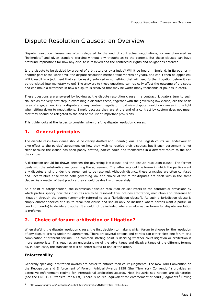# Dispute Resolution Clauses: an Overview

Dispute resolution clauses are often relegated to the end of contractual negotiations; or are dismissed as "boilerplate" and given standard wording without any thought as to the context. But these clauses can have profound implications for how any dispute is resolved and the contractual rights and obligations enforced.

Is the dispute to be decided by a panel of arbitrators or by a judge? Will it be heard in England, in Europe, or in another part of the world? Will the dispute resolution method take months or years, and can it then be appealed? Will it result in a judgment that can be easily enforced or something that will need further litigation before it can be translated into monetary value? The answers to these questions can radically affect the outcome of a dispute and can make a difference in how a dispute is resolved that may be worth many thousands of pounds in costs.

These questions are answered by looking at the dispute resolution clause in a contract. Litigators turn to such clauses as the very first step in examining a dispute: these, together with the governing law clause, are the basic rules of engagement in any dispute and any contract negotiator must view dispute resolution clauses in this light when sitting down to negotiations. Simply because they are at the end of a contract by custom does not mean that they should be relegated to the end of the list of important provisions.

This guide looks at the issues to consider when drafting dispute resolution clauses.

# **1. General principles**

The dispute resolution clause should be clearly drafted and unambiguous. The English courts will endeavour to give effect to the parties' agreement on how they wish to resolve their disputes, but if such agreement is not clear because the clause has been poorly drafted, parties could find themselves in a different forum to the one they chose.

A distinction should be drawn between the governing law clause and the dispute resolution clause. The former deals with the substantive law governing the agreement. The latter sets out the forum in which the parties want any disputes arising under the agreement to be resolved. Although distinct, these principles are often confused and uncertainties arise when both governing law and choice of forum for disputes are dealt with in the same clause. As a matter of best practice they should be dealt with separately.

As a point of categorisation, the expression "dispute resolution clause" refers to the contractual provisions by which parties specify how their disputes are to be resolved: this includes arbitration, mediation and reference to litigation through the courts (commonly referred to as a "jurisdiction clause"). As such a jurisdiction clause is simply another species of dispute resolution clause and should only be included where parties want a particular court (or courts) to decide a dispute. It should not be included where an alternative forum for dispute resolution is preferred.

# **2. Choice of forum: arbitration or litigation?**

When drafting the dispute resolution clause, the first decision to make is which forum to choose for the resolution of any dispute arising under the agreement. There are several options and parties can either elect one forum or a combination of different forums. The common starting point is deciding whether court litigation or arbitration is more appropriate. This requires an understanding of the advantages and disadvantages of the different forums as, in each case, the transaction will be better suited to one or the other.

#### **Enforceability**

ł

Generally speaking, arbitration awards are easier to enforce than court judgments. The New York Convention on the Recognition and Enforcement of Foreign Arbitral Awards 1958 (the "New York Convention") provides an extensive enforcement regime for international arbitration awards. Most industrialised nations are signatories (see the UNCITRAL website<sup>1</sup> for a list). There is no real equivalent for enforcement of court judgments.<sup>2</sup> Having

<sup>1</sup> http://www.uncitral.org/uncitral/en/uncitral\_texts/arbitration/NYConvention\_status.html.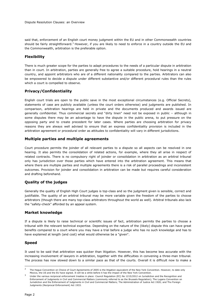said that, enforcement of an English court money judgment within the EU and in other Commonwealth countries should be fairly straightforward.<sup>3</sup> However, if you are likely to need to enforce in a country outside the EU and the Commonwealth, arbitration is the preferable option.

#### **Flexibility**

There is much greater scope for the parties to adapt procedures to the needs of a particular dispute in arbitration than in court. In arbitration, parties are generally free to agree a suitable procedure, hold hearings in a neutral country, and appoint arbitrators who are of a different nationality compared to the parties. Arbitrators can also be empowered to decide a dispute under different substantive and/or different procedural rules than the rules which a court is compelled to observe.

#### **Privacy/Confidentiality**

English court trials are open to the public save in the most exceptional circumstances (e.g. Official Secrets), statements of case are publicly available (unless the court orders otherwise) and judgments are published. In comparison, arbitration hearings are held in private and the documents produced and awards issued are generally confidential. Thus commercial secrets and "dirty linen" need not be exposed in public – although in some disputes there may be an advantage to have the dispute in the public arena, to put pressure on the opposing party and to create precedent for later cases. Where parties are choosing arbitration for privacy reasons they are always well advised to ensure that an express confidentiality provision is included in the arbitration agreement or procedural order as attitudes to confidentiality will vary in different jurisdictions.

#### **Multiple parties and multiple agreements**

Court procedure permits the joinder of all relevant parties to a dispute so all aspects can be resolved in one hearing. It also permits the consolidation of related actions, for example, where they all arise in respect of related contracts. There is no compulsory right of joinder or consolidation in arbitration as an arbitral tribunal only has jurisdiction over those parties which have entered into the arbitration agreement. This means that where there are multiple parties and multiple agreements there is a risk of parallel proceedings and inconsistent outcomes. Provision for joinder and consolidation in arbitration can be made but requires careful consideration and drafting beforehand.

#### **Quality of the judges**

Generally the quality of English High Court judges is top-class and so the judgment given is sensible, correct and justifiable. The quality of an arbitral tribunal may be more variable given the freedom of the parties to choose arbitrators (though there are many top-class arbitrators throughout the world as well). Arbitral tribunals also lack the "safety-check" afforded by an appeal system.

#### **Market knowledge**

If a dispute is likely to raise technical or scientific issues of fact, arbitration permits the parties to choose a tribunal with the relevant technical expertise. Depending on the nature of the (likely) dispute this can have great benefits compared to a court where you may have a trial before a judge who has no such knowledge and has to have explained at length (and cost) what would otherwise be a "given".

#### **Speed**

It used to be said that arbitration was quicker than litigation. However, this has become less accurate with the increasing involvement of lawyers in arbitration, together with the difficulties in convening a three-man tribunal. The process has now slowed down to a similar pace as that of the courts. Overall it is difficult now to make a

ł

<sup>2</sup> The Hague Convention on Choice of Court Agreements of 2005 is the litigation equivalent of the New York Convention. However, to date only Mexico, the US and the EU have signed. It will be a while before it has the impact of the New York Convention.

<sup>3</sup> Under the various reciprocal enforcement treaties in place: Council Regulation (EC) No 1215/2012 on Jurisdiction and the Recognition and Enforcement of Judgments in Civil and Commercial Matters (commonly referred to as the Brussels Regulation); The Lugano Convention on Jurisdiction and the Enforcement of Judgments in Civil and Commercial Matters; The Administration of Justice Act 1920; and The Foreign Judgments (Reciprocal Enforcement) Act 1933.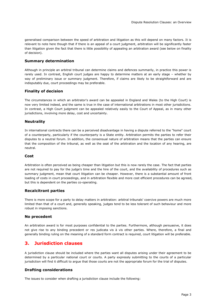generalised comparison between the speed of arbitration and litigation as this will depend on many factors. It is relevant to note here though that if there is an appeal of a court judgment, arbitration will be significantly faster than litigation given the fact that there is little possibility of appealing an arbitration award (see below on finality of decision).

#### **Summary determination**

Although in principle an arbitral tribunal can determine claims and defences summarily, in practice this power is rarely used. In contrast, English court judges are happy to determine matters at an early stage – whether by way of preliminary issue or summary judgment. Therefore, if claims are likely to be straightforward and are indisputably due, court proceedings may be preferable.

#### **Finality of decision**

The circumstances in which an arbitrator's award can be appealed in England and Wales (to the High Court) is now very limited indeed, and the same is true in the case of international arbitrations in most other jurisdictions. In contrast, a High Court judgment can be appealed relatively easily to the Court of Appeal, as in many other jurisdictions, involving more delay, cost and uncertainty.

#### **Neutrality**

In international contracts there can be a perceived disadvantage in having a dispute referred to the "home" court of a counterparty, particularly if the counterparty is a State entity. Arbitration permits the parties to refer their disputes to a neutral forum. In addition, the consensual nature of arbitration means that the parties can ensure that the composition of the tribunal, as well as the seat of the arbitration and the location of any hearing, are neutral.

#### **Cost**

Arbitration is often perceived as being cheaper than litigation but this is now rarely the case. The fact that parties are not required to pay for the judge's time and the hire of the court, and the availability of procedures such as summary judgment, mean that court litigation can be cheaper. However, there is a substantial amount of front loading of costs in court proceedings, and in arbitration flexible and more cost efficient procedures can be agreed, but this is dependent on the parties co-operating.

#### **Recalcitrant parties**

There is more scope for a party to delay matters in arbitration: arbitral tribunals' coercive powers are much more limited than that of a court and, generally speaking, judges tend to be less tolerant of such behaviour and more robust in imposing sanctions.

#### **No precedent**

An arbitration award is for most purposes confidential to the parties. Furthermore, although persuasive, it does not give rise to any binding precedent or res judicata vis à vis other parties. Where, therefore, a final and generally binding ruling on the meaning of a standard form contract is required, court litigation will be preferable.

### **3. Jurisdiction clauses**

A jurisdiction clause should be included where the parties want all disputes arising under their agreement to be determined by a particular national court or courts. A party expressly submitting to the courts of a particular jurisdiction will find it difficult to argue that those courts are not the appropriate forum for the trial of disputes.

#### **Drafting considerations**

The issues to consider when drafting a jurisdiction clause include the following: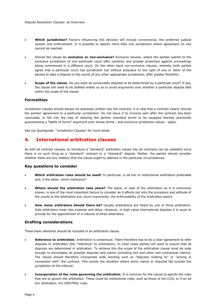- **Which jurisdiction?** Factors influencing this decision will include convenience, the preferred judicial system and enforcement. It is possible to specify more than one jurisdiction where agreement on one cannot be reached.
- Should the clause be **exclusive or non-exclusive?** Exclusive clauses, where the parties submit to the exclusive jurisdiction of one particular court offer certainty and greater protection against proceedings being commenced in a different court. On the other hand non-exclusive clauses, whereby both parties agree that a particular court has jurisdiction but without prejudice to the right of one or other of the parties to take a dispute to the courts of any other appropriate jurisdiction, offer greater flexibility.
- **Scope of the clause**. Do you want all conceivable disputes to be determined by a particular court? If yes, the clause will need to be drafted widely so as to avoid arguments over whether a particular dispute falls within the scope of the clause.

#### **Formalities**

Jurisdiction clauses should always be expressly written into the contract; it is vital that a contract clearly records the parties' agreement to a particular jurisdiction. Do not leave it to invoices sent after the contract has been concluded, or fall into the trap of allowing the parties' standard terms to be swapped thereby practically guaranteeing a "battle of forms" argument over whose terms - and exclusive jurisdiction clause - apply.

See our Quickguide: "Jurisdiction Clauses" for more detail.

# **4. International arbitration clauses**

As with all contract clauses, to introduce a "standard" arbitration clause into all contracts can be unhelpful since there is no such thing as a "standard" contract or a "standard" dispute. Rather, the parties should consider whether there are any matters that the clause ought to address in the particular circumstances.

#### **Key questions to consider**

- **Which arbitration rules should be used?** In particular, is ad hoc or institutional arbitration preferable and, if the latter, which institution?
- **Where should the arbitration take place?** The place, or seat of the arbitration as it is commonly known, is one of the most important factors to consider as it affects not only the procedure and attitude of the courts to the arbitration but, more importantly, the enforceability of the arbitration award.
- **How many arbitrators should there be?** Usually arbitrations are heard by one or three arbitrators. Sole arbitrators mean less expense and delay. However, in high-value international disputes it is usual to provide for the appointment of a tribunal of three arbitrators.

#### **Drafting considerations**

These basic elements should be included in an arbitration clause.

- **Reference to arbitration**. Arbitration is consensual. There therefore has to be a clear agreement to refer disputes to arbitration (the "reference" to arbitration). In most cases parties will want to ensure that all disputes are determined in arbitration. To achieve this the scope of the arbitration clause must be wide enough to encompass all possible disputes and claims (including tort and other non-contractual claims). The clause should therefore incorporate wide wording such as "disputes relating to" or "arising in connection with" the contract. This avoids the situation where some claims or disputes fall outside the jurisdiction of the tribunal.
- **Incorporation of the rules governing the arbitration.** It is common for the clause to specify the rules that are to govern the arbitration. These could be institutional rules, such as those of the LCIA, or if an ad hoc arbitration, the UNCITRAL rules.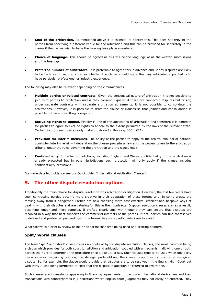- **Seat of the arbitration.** As mentioned above it is essential to specify this. This does not prevent the parties from specifying a different venue for the arbitration and this can be provided for separately in the clause if the parties wish to have the hearing take place elsewhere.
- **Choice of language.** This should be agreed as this will be the language of all the written submissions and the hearings.
- **Preferred number of arbitrators.** It is preferable to agree this in advance and, if any disputes are likely to be technical in nature, consider whether the clause should state that any arbitrator appointed is to have particular professional or industry experience.

The following may also be relevant depending on the circumstances.

- **Multiple parties or related contracts.** Given the consensual nature of arbitration it is not possible to join third parties to arbitration unless they consent. Equally, if there are connected disputes but arising under separate contracts with separate arbitration agreements, it is not possible to consolidate the arbitrations. However, it is possible to draft the clause or clauses so that joinder and consolidation is possible but careful drafting is required.
- **Excluding rights to appeal.** Finality is one of the attractions of arbitration and therefore it is common for parties to agree to exclude rights to appeal to the extent permitted by the laws of the relevant state. Certain institutional rules already make provision for this (e.g. ICC, LCIA).
- **Provision for interim measures**. The ability of the parties to apply to the arbitral tribunal or national courts for interim relief will depend on the chosen procedural law and the powers given to the arbitration tribunal under the rules governing the arbitration and the clause itself.
- **Confidentiality.** In certain jurisdictions, including England and Wales, confidentiality of the arbitration is already protected but in other jurisdictions such protection will only apply if the clause includes confidentiality provisions.

For more detailed guidance see our Quickguide: "International Arbitration Clauses".

# **5. The other dispute resolution options**

Traditionally the main choice for dispute resolution was arbitration or litigation. However, the last few years have seen contracting parties become more creative in their adaptation of these forums and, in some areas, are moving away from it altogether. Parties are now choosing more cost-effective, efficient and bespoke ways of dealing with their disputes and are catering for this in their contracts. Dispute resolution clauses are, as a result, becoming longer and more complex. If drafted clearly and with thought they can ensure that disputes are resolved in a way that best supports the commercial interests of the parties. If not, parties can find themselves in delayed and protracted proceedings in the forum they were particularly keen to avoid.

What follows is a brief overview of the principal mechanisms being used and drafting pointers.

#### **Split/hybrid clauses**

The term "split" or "hybrid" clause covers a variety of hybrid dispute resolution clauses, the most common being a clause which provides for both court jurisdiction and arbitration coupled with a mechanism allowing one or both parties the right to determine the procedure once a dispute arises. Such clauses tend to be used when one party has a superior bargaining position, the stronger party utilising the clause to optimise its position in any given dispute. So, for example, the clause would provide that disputes are to be resolved in the English High Court but with Party A also being permitted to elect that the dispute in question be referred to arbitration.

Such clauses are increasingly appearing in financing agreements, in particular international derivatives and loan transactions with counterparties in jurisdictions where English court judgments may not easily be enforced. They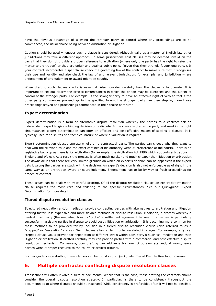have the obvious advantage of allowing the stronger party to control where any proceedings are to be commenced, the usual choice being between arbitration or litigation.

Caution should be used whenever such a clause is considered. Although valid as a matter of English law other jurisdictions may take a different approach. In some jurisdictions split clauses may be deemed invalid on the basis that they do not provide a proper reference to arbitration (where only one party has the right to refer the matter to arbitration) or they are unfair and against public policy (given that they strongly favour one party). If your contract incorporates a split clause check the governing law of the contract to make sure that it recognises their use and validity and also check the law of any relevant jurisdiction, for example, any jurisdiction where enforcement of any judgment or award might be sought.

When drafting such clauses clarity is essential. Also consider carefully how the clause is to operate. It is important to set out clearly the precise circumstances in which the option may be exercised and the extent of control of the stronger party. For example, is the stronger party to have an effective right of veto so that if the other party commences proceedings in the specified forum, the stronger party can then step in, have those proceedings stayed and proceedings commenced in their choice of forum?

#### **Expert determination**

Expert determination is a form of alternative dispute resolution whereby the parties to a contract ask an independent expert to give a binding decision on a dispute. If the clause is drafted properly and used in the right circumstances expert determination can offer an efficient and cost-effective means of settling a dispute. It is typically used for disputes of a technical nature or where a valuation is required.

Expert determination clauses operate wholly on a contractual basis. The parties can choose who they want to deal with the relevant issue and the exact confines of his authority without interference of the courts. There is no legislative back-up as there is for arbitration (for example, the Arbitration Act 1996 which supports arbitrations in England and Wales). As a result the process is often much quicker and much cheaper than litigation or arbitration. The downside is that there are very limited grounds on which an expert's decision can be appealed; if the expert gets it wrong the parties are stuck with the decision. An expert's decision is also not enforceable as of right in the same way as an arbitration award or court judgment. Enforcement has to be by way of fresh proceedings for breach of contract.

These issues can be dealt with by careful drafting. Of all the dispute resolution clauses an expert determination clause requires the most care and tailoring to the specific circumstances. See our Quickguide: Expert Determination for more detail.

#### **Tiered dispute resolution clauses**

Structured negotiation and/or mediation provide contracting parties with alternatives to arbitration and litigation offering faster, less expensive and more flexible methods of dispute resolution. Mediation, a process whereby a neutral third party (the mediator) tries to "broke" a settlement agreement between the parties, is particularly successful in assisting parties in dispute to avoid costly litigation or arbitration. It is becoming more common for these methods to be provided for by inclusion in a tiered dispute resolution clause (also referred to as a "stepped" or "escalation" clause). Such clauses allow a claim to be escalated in stages. For example, a typical stepped clause would provide for negotiation at different levels within each party's business, mediation and then litigation or arbitration. If drafted carefully they can provide parties with a commercial and cost-effective dispute resolution mechanism. Conversely, poor drafting can add an extra layer of bureaucracy and, at worst, leave parties without proper recourse to the courts or arbitral tribunal.

Further guidance on drafting these clauses can be found in our Quickguide: Tiered Dispute Resolution Clauses.

### **6. Multiple contracts: conflicting dispute resolution clauses**

Transactions will often involve a suite of documents. Where that is the case, those drafting the contracts should consider the overall dispute resolution strategy. In particular, is there to be consistency throughout the documents as to where disputes should be resolved? While consistency is preferable, often it will not be possible.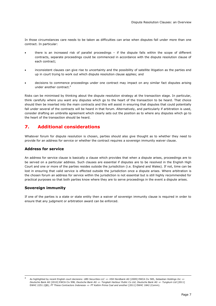In those circumstances care needs to be taken as difficulties can arise when disputes fall under more than one contract. In particular:

- there is an increased risk of parallel proceedings if the dispute falls within the scope of different contracts, separate proceedings could be commenced in accordance with the dispute resolution clause of each contract;
- inconsistent clauses can give rise to uncertainty and the possibility of satellite litigation as the parties end up in court trying to work out which dispute resolution clause applies; and
- decisions to commence proceedings under one contract may impact on any similar fact disputes arising under another contract.<sup>4</sup>

Risks can be minimised by thinking about the dispute resolution strategy at the transaction stage. In particular, think carefully where you want any disputes which go to the heart of the transaction to be heard. That choice should then be inserted into the main contracts and this will assist in ensuring that disputes that could potentially fall under several of the contracts will be heard in that forum. Alternatively, and particularly if arbitration is used, consider drafting an umbrella agreement which clearly sets out the position as to where any disputes which go to the heart of the transaction should be heard.

# **7. Additional considerations**

Whatever forum for dispute resolution is chosen, parties should also give thought as to whether they need to provide for an address for service or whether the contract requires a sovereign immunity waiver clause.

#### **Address for service**

An address for service clause is basically a clause which provides that when a dispute arises, proceedings are to be served on a particular address. Such clauses are essential if disputes are to be resolved in the English High Court and one or more of the parties resides outside the jurisdiction (i.e. England and Wales). If not, time can be lost in ensuring that valid service is effected outside the jurisdiction once a dispute arises. Where arbitration is the chosen forum an address for service within the jurisdiction is not essential but is still highly recommended for practical purposes so that both parties know where they are to serve proceedings in the event a dispute arises.

#### **Sovereign immunity**

ł

If one of the parties is a state or state entity then a waiver of sovereign immunity clause is required in order to ensure that any judgment or arbitration award can be enforced.

<sup>4</sup> As highlighted by recent English court decisions: *UBS Securities LLC -v- HSH Nordbank AG* [2009] EWCA Civ 585, *Sebastian Holdings Inc -v-Deutsche Bank AG* [2010] EWCA Civ 998, *Deutsche Bank AG -v- Tongkah Harbour Public Co Ltd*; *Deutsche Bank AG -v- Tungkum Ltd* [2011] EWHC 2251 (QB); *PT Thiess Contractors Indonesia -v- PT Kaltim Prima Coal and another* [2011] EWHC 1842 (Comm).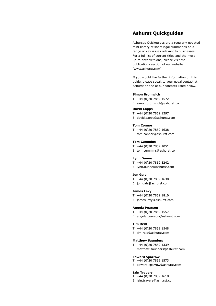## **Ashurst Quickguides**

Ashurst's Quickguides are a regularly updated mini-library of short legal summaries on a range of key issues relevant to businesses. For a full list of current titles and the most up-to-date versions, please visit the publications section of our website [\(www.ashurst.com\)](http://www.ashurst.com/).

If you would like further information on this guide, please speak to your usual contact at Ashurst or one of our contacts listed below.

#### **Simon Bromwich**

T: +44 (0)20 7859 1572 E: simon.bromwich@ashurst.com

**David Capps**

T: +44 (0)20 7859 1397 E: david.capps@ashurst.com

#### **Tom Connor**

T: +44 (0)20 7859 1638 E: tom.connor@ashurst.com

**Tom Cummins** T: +44 (0)20 7859 1051 E: tom.cummins@ashurst.com

**Lynn Dunne** T: +44 (0)20 7859 3242

E: lynn.dunne@ashurst.com

**Jon Gale** T: +44 (0)20 7859 1630

E: jon.gale@ashurst.com

**James Levy** T: +44 (0)20 7859 1810 E: james.levy@ashurst.com

**Angela Pearson**

T: +44 (0)20 7859 1557 E: angela.pearson@ashurst.com

**Tim Reid** T: +44 (0)20 7859 1548 E: tim.reid@ashurst.com

#### **Matthew Saunders**

T: +44 (0)20 7859 1339 E: matthew.saunders@ashurst.com

**Edward Sparrow** T: +44 (0)20 7859 1573

E: edward.sparrow@ashurst.com

**Iain Travers**

T: +44 (0)20 7859 1618 E: iain.travers@ashurst.com